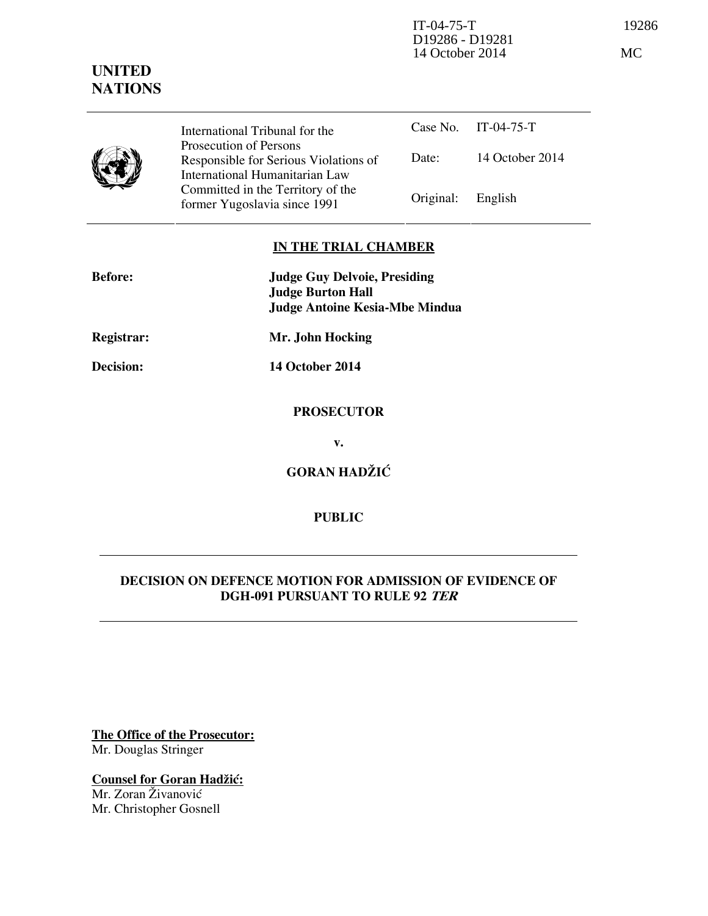

International Tribunal for the Prosecution of Persons Responsible for Serious Violations of International Humanitarian Law Committed in the Territory of the former Yugoslavia since 1991 Original: Eng

|                   | Case No. IT-04-75-T |
|-------------------|---------------------|
| Date:             | 14 October 2014     |
| Original: English |                     |

## **IN THE TRIAL CHAMBER**

| <b>Before:</b> | <b>Judge Guy Delvoie, Presiding</b><br><b>Judge Burton Hall</b><br><b>Judge Antoine Kesia-Mbe Mindua</b> |
|----------------|----------------------------------------------------------------------------------------------------------|
| Registrar:     | Mr. John Hocking                                                                                         |
| Decision:      | <b>14 October 2014</b>                                                                                   |
|                | <b>PROSECUTOR</b>                                                                                        |
|                | v.                                                                                                       |
|                | <b>GORAN HADŽIĆ</b>                                                                                      |

# **PUBLIC**

## **DECISION ON DEFENCE MOTION FOR ADMISSION OF EVIDENCE OF DGH-091 PURSUANT TO RULE 92 TER**

**The Office of the Prosecutor:** Mr. Douglas Stringer

**Counsel for Goran Hadžić:** Mr. Zoran Živanović Mr. Christopher Gosnell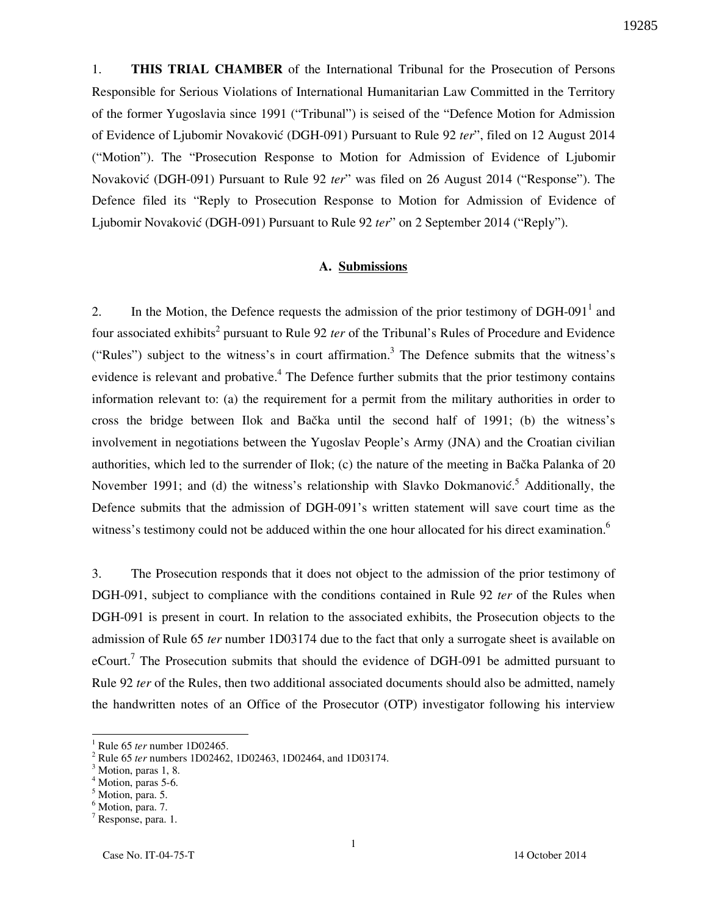1. **THIS TRIAL CHAMBER** of the International Tribunal for the Prosecution of Persons Responsible for Serious Violations of International Humanitarian Law Committed in the Territory of the former Yugoslavia since 1991 ("Tribunal") is seised of the "Defence Motion for Admission of Evidence of Ljubomir Novakovi} (DGH-091) Pursuant to Rule 92 *ter*", filed on 12 August 2014 ("Motion"). The "Prosecution Response to Motion for Admission of Evidence of Ljubomir Novaković (DGH-091) Pursuant to Rule 92 *ter*" was filed on 26 August 2014 ("Response"). The Defence filed its "Reply to Prosecution Response to Motion for Admission of Evidence of Ljubomir Novaković (DGH-091) Pursuant to Rule 92 *ter*" on 2 September 2014 ("Reply").

## **A. Submissions**

2. In the Motion, the Defence requests the admission of the prior testimony of DGH-091 $<sup>1</sup>$  and</sup> four associated exhibits<sup>2</sup> pursuant to Rule 92 *ter* of the Tribunal's Rules of Procedure and Evidence ("Rules") subject to the witness's in court affirmation.<sup>3</sup> The Defence submits that the witness's evidence is relevant and probative.<sup>4</sup> The Defence further submits that the prior testimony contains information relevant to: (a) the requirement for a permit from the military authorities in order to cross the bridge between Ilok and Bačka until the second half of 1991; (b) the witness's involvement in negotiations between the Yugoslav People's Army (JNA) and the Croatian civilian authorities, which led to the surrender of Ilok; (c) the nature of the meeting in Bačka Palanka of 20 November 1991; and (d) the witness's relationship with Slavko Dokmanovic.<sup>5</sup> Additionally, the Defence submits that the admission of DGH-091's written statement will save court time as the witness's testimony could not be adduced within the one hour allocated for his direct examination.<sup>6</sup>

3. The Prosecution responds that it does not object to the admission of the prior testimony of DGH-091, subject to compliance with the conditions contained in Rule 92 *ter* of the Rules when DGH-091 is present in court. In relation to the associated exhibits, the Prosecution objects to the admission of Rule 65 *ter* number 1D03174 due to the fact that only a surrogate sheet is available on eCourt.<sup>7</sup> The Prosecution submits that should the evidence of DGH-091 be admitted pursuant to Rule 92 *ter* of the Rules, then two additional associated documents should also be admitted, namely the handwritten notes of an Office of the Prosecutor (OTP) investigator following his interview

 $\overline{\phantom{a}}$ 

<sup>1</sup> Rule 65 *ter* number 1D02465.

<sup>2</sup> Rule 65 *ter* numbers 1D02462, 1D02463, 1D02464, and 1D03174.

<sup>&</sup>lt;sup>3</sup> Motion, paras 1, 8.

<sup>4</sup> Motion, paras 5-6.

<sup>&</sup>lt;sup>5</sup> Motion, para. 5.

<sup>&</sup>lt;sup>6</sup> Motion, para. 7.

<sup>7</sup> Response, para. 1.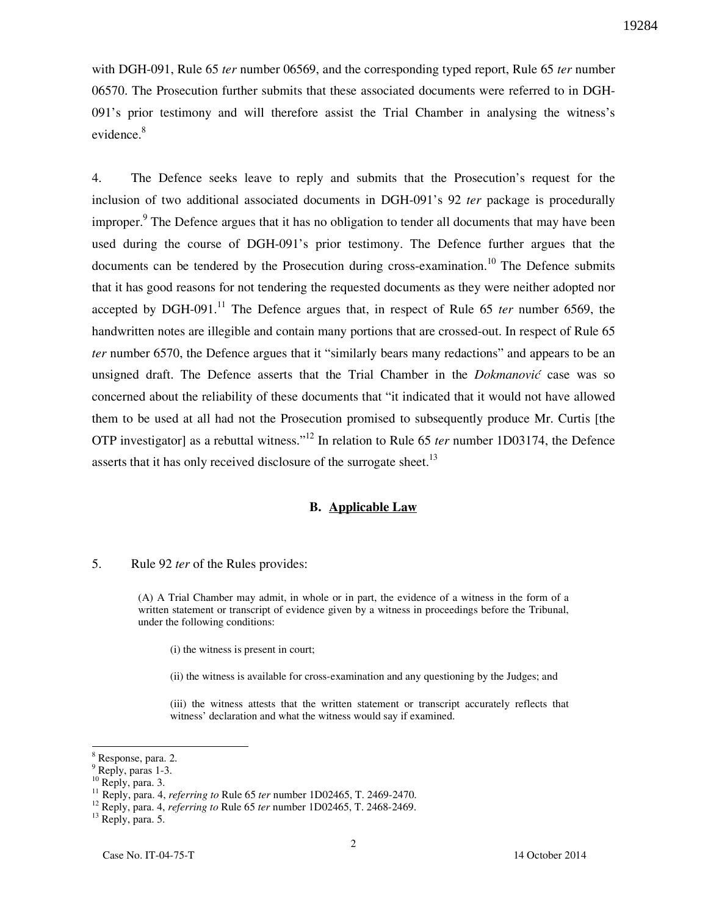with DGH-091, Rule 65 *ter* number 06569, and the corresponding typed report, Rule 65 *ter* number 06570. The Prosecution further submits that these associated documents were referred to in DGH-091's prior testimony and will therefore assist the Trial Chamber in analysing the witness's evidence.<sup>8</sup>

4. The Defence seeks leave to reply and submits that the Prosecution's request for the inclusion of two additional associated documents in DGH-091's 92 *ter* package is procedurally improper.<sup>9</sup> The Defence argues that it has no obligation to tender all documents that may have been used during the course of DGH-091's prior testimony. The Defence further argues that the documents can be tendered by the Prosecution during cross-examination.<sup>10</sup> The Defence submits that it has good reasons for not tendering the requested documents as they were neither adopted nor accepted by DGH-091.<sup>11</sup> The Defence argues that, in respect of Rule 65 *ter* number 6569, the handwritten notes are illegible and contain many portions that are crossed-out. In respect of Rule 65 *ter* number 6570, the Defence argues that it "similarly bears many redactions" and appears to be an unsigned draft. The Defence asserts that the Trial Chamber in the *Dokmanović* case was so concerned about the reliability of these documents that "it indicated that it would not have allowed them to be used at all had not the Prosecution promised to subsequently produce Mr. Curtis [the OTP investigator] as a rebuttal witness."<sup>12</sup> In relation to Rule 65 *ter* number 1D03174, the Defence asserts that it has only received disclosure of the surrogate sheet.<sup>13</sup>

#### **B. Applicable Law**

#### 5. Rule 92 *ter* of the Rules provides:

(A) A Trial Chamber may admit, in whole or in part, the evidence of a witness in the form of a written statement or transcript of evidence given by a witness in proceedings before the Tribunal, under the following conditions:

(i) the witness is present in court;

(ii) the witness is available for cross-examination and any questioning by the Judges; and

(iii) the witness attests that the written statement or transcript accurately reflects that witness' declaration and what the witness would say if examined.

 $\overline{\phantom{a}}$ 

<sup>&</sup>lt;sup>8</sup> Response, para. 2.

<sup>&</sup>lt;sup>9</sup> Reply, paras 1-3.

 $^{10}$  Reply, para. 3.

<sup>11</sup> Reply, para. 4, *referring to* Rule 65 *ter* number 1D02465, T. 2469-2470.

<sup>12</sup> Reply, para. 4, *referring to* Rule 65 *ter* number 1D02465, T. 2468-2469.

<sup>&</sup>lt;sup>13</sup> Reply, para. 5.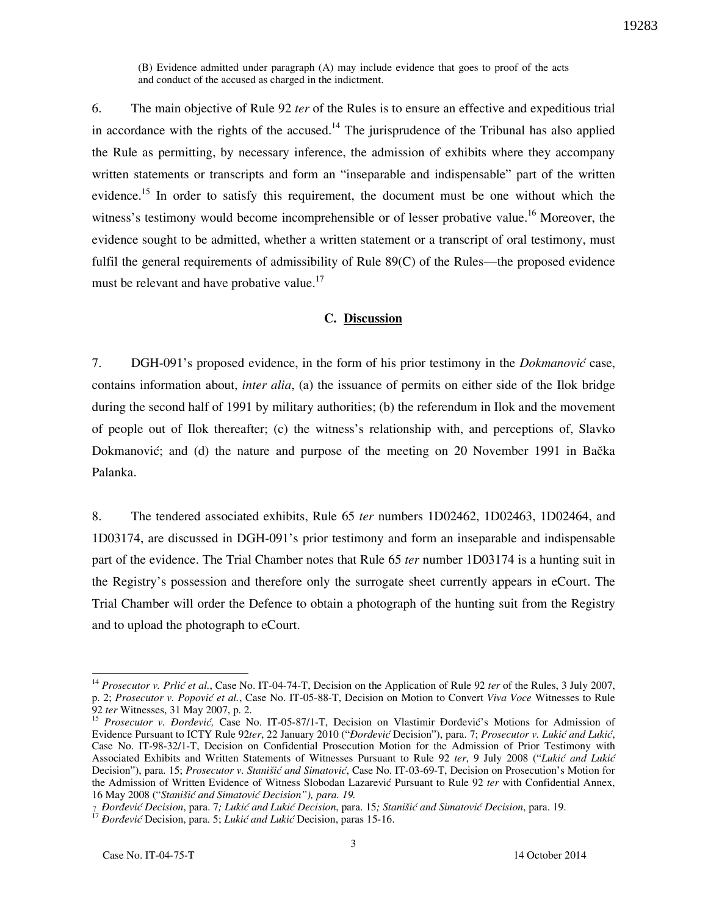(B) Evidence admitted under paragraph (A) may include evidence that goes to proof of the acts and conduct of the accused as charged in the indictment.

6. The main objective of Rule 92 *ter* of the Rules is to ensure an effective and expeditious trial in accordance with the rights of the accused.<sup>14</sup> The jurisprudence of the Tribunal has also applied the Rule as permitting, by necessary inference, the admission of exhibits where they accompany written statements or transcripts and form an "inseparable and indispensable" part of the written evidence.<sup>15</sup> In order to satisfy this requirement, the document must be one without which the witness's testimony would become incomprehensible or of lesser probative value.<sup>16</sup> Moreover, the evidence sought to be admitted, whether a written statement or a transcript of oral testimony, must fulfil the general requirements of admissibility of Rule 89(C) of the Rules—the proposed evidence must be relevant and have probative value.<sup>17</sup>

### **C. Discussion**

7. DGH-091's proposed evidence, in the form of his prior testimony in the *Dokmanović* case, contains information about, *inter alia*, (a) the issuance of permits on either side of the Ilok bridge during the second half of 1991 by military authorities; (b) the referendum in Ilok and the movement of people out of Ilok thereafter; (c) the witness's relationship with, and perceptions of, Slavko Dokmanović; and (d) the nature and purpose of the meeting on 20 November 1991 in Bačka Palanka.

8. The tendered associated exhibits, Rule 65 *ter* numbers 1D02462, 1D02463, 1D02464, and 1D03174, are discussed in DGH-091's prior testimony and form an inseparable and indispensable part of the evidence. The Trial Chamber notes that Rule 65 *ter* number 1D03174 is a hunting suit in the Registry's possession and therefore only the surrogate sheet currently appears in eCourt. The Trial Chamber will order the Defence to obtain a photograph of the hunting suit from the Registry and to upload the photograph to eCourt.

l

<sup>&</sup>lt;sup>14</sup> Prosecutor v. Prlić et al., Case No. IT-04-74-T, Decision on the Application of Rule 92 *ter* of the Rules, 3 July 2007, p. 2; *Prosecutor v. Popović et al.*, Case No. IT-05-88-T, Decision on Motion to Convert *Viva Voce* Witnesses to Rule 92 *ter* Witnesses, 31 May 2007, p. 2.

<sup>&</sup>lt;sup>15</sup> Prosecutor v. Đorđević, Case No. IT-05-87/1-T, Decision on Vlastimir Đorđević's Motions for Admission of Evidence Pursuant to ICTY Rule 92ter, 22 January 2010 ("*Đorđević* Decision"), para. 7; Prosecutor v. Lukić and Lukić, Case No. IT-98-32/1-T, Decision on Confidential Prosecution Motion for the Admission of Prior Testimony with Associated Exhibits and Written Statements of Witnesses Pursuant to Rule 92 ter, 9 July 2008 ("Lukić and Lukić Decision"), para. 15; *Prosecutor v. Stanišić and Simatović*, Case No. IT-03-69-T, Decision on Prosecution's Motion for the Admission of Written Evidence of Witness Slobodan Lazarević Pursuant to Rule 92 ter with Confidential Annex, 16 May 2008 ("Stanišić and Simatović Decision"), para. 19.

<sup>-</sup> *ðorđevi} Decision*, para. 7*; Luki} and Luki} Decision*, para. 15*; Stani{i} and Simatovi} Decision*, para. 19.

<sup>&</sup>lt;sup>17</sup> *Đorđević* Decision, para. 5; *Lukić and Lukić* Decision, paras 15-16.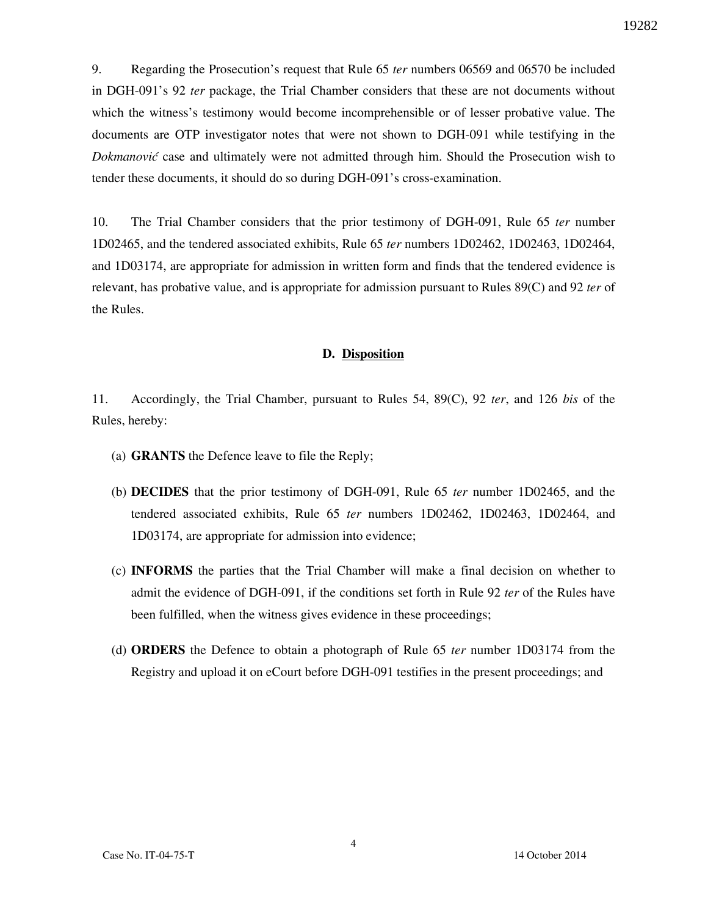9. Regarding the Prosecution's request that Rule 65 *ter* numbers 06569 and 06570 be included in DGH-091's 92 *ter* package, the Trial Chamber considers that these are not documents without which the witness's testimony would become incomprehensible or of lesser probative value. The documents are OTP investigator notes that were not shown to DGH-091 while testifying in the *Dokmanović* case and ultimately were not admitted through him. Should the Prosecution wish to tender these documents, it should do so during DGH-091's cross-examination.

10. The Trial Chamber considers that the prior testimony of DGH-091, Rule 65 *ter* number 1D02465, and the tendered associated exhibits, Rule 65 *ter* numbers 1D02462, 1D02463, 1D02464, and 1D03174, are appropriate for admission in written form and finds that the tendered evidence is relevant, has probative value, and is appropriate for admission pursuant to Rules 89(C) and 92 *ter* of the Rules.

### **D. Disposition**

11. Accordingly, the Trial Chamber, pursuant to Rules 54, 89(C), 92 *ter*, and 126 *bis* of the Rules, hereby:

- (a) **GRANTS** the Defence leave to file the Reply;
- (b) **DECIDES** that the prior testimony of DGH-091, Rule 65 *ter* number 1D02465, and the tendered associated exhibits, Rule 65 *ter* numbers 1D02462, 1D02463, 1D02464, and 1D03174, are appropriate for admission into evidence;
- (c) **INFORMS** the parties that the Trial Chamber will make a final decision on whether to admit the evidence of DGH-091, if the conditions set forth in Rule 92 *ter* of the Rules have been fulfilled, when the witness gives evidence in these proceedings;
- (d) **ORDERS** the Defence to obtain a photograph of Rule 65 *ter* number 1D03174 from the Registry and upload it on eCourt before DGH-091 testifies in the present proceedings; and